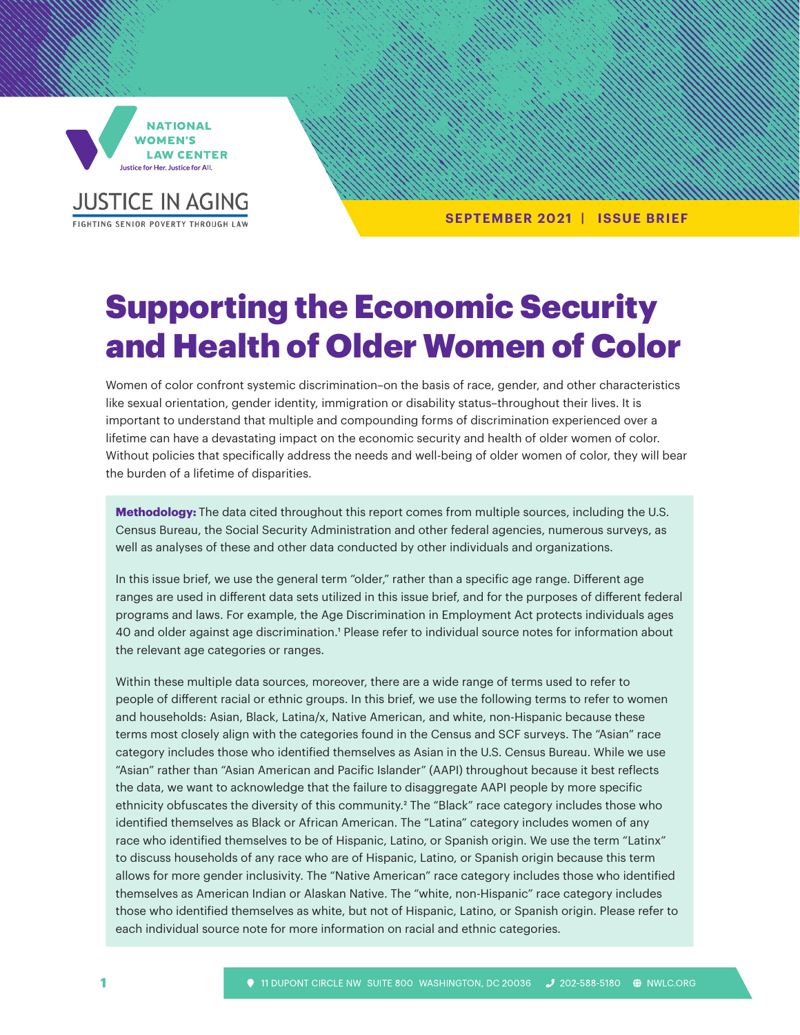

**JUSTICE IN AGING** FIGHTING SENIOR POVERTY THROUGH LA

**SEPTEMBER 2021 | ISSUE BRIEF**

# Supporting the Economic Security and Health of Older Women of Color

Women of color confront systemic discrimination–on the basis of race, gender, and other characteristics like sexual orientation, gender identity, immigration or disability status–throughout their lives. It is important to understand that multiple and compounding forms of discrimination experienced over a lifetime can have a devastating impact on the economic security and health of older women of color. Without policies that specifically address the needs and well-being of older women of color, they will bear the burden of a lifetime of disparities.

**Methodology:** The data cited throughout this report comes from multiple sources, including the U.S. Census Bureau, the Social Security Administration and other federal agencies, numerous surveys, as well as analyses of these and other data conducted by other individuals and organizations.

In this issue brief, we use the general term "older," rather than a specific age range. Different age ranges are used in different data sets utilized in this issue brief, and for the purposes of different federal programs and laws. For example, the Age Discrimination in Employment Act protects individuals ages 40 and older against age discrimination.1 Please refer to individual source notes for information about the relevant age categories or ranges.

Within these multiple data sources, moreover, there are a wide range of terms used to refer to people of different racial or ethnic groups. In this brief, we use the following terms to refer to women and households: Asian, Black, Latina/x, Native American, and white, non-Hispanic because these terms most closely align with the categories found in the Census and SCF surveys. The "Asian" race category includes those who identified themselves as Asian in the U.S. Census Bureau. While we use "Asian" rather than "Asian American and Pacific Islander" (AAPI) throughout because it best reflects the data, we want to acknowledge that the failure to disaggregate AAPI people by more specific ethnicity obfuscates the diversity of this community.<sup>2</sup> The "Black" race category includes those who identified themselves as Black or African American. The "Latina" category includes women of any race who identified themselves to be of Hispanic, Latino, or Spanish origin. We use the term "Latinx" to discuss households of any race who are of Hispanic, Latino, or Spanish origin because this term allows for more gender inclusivity. The "Native American" race category includes those who identified themselves as American Indian or Alaskan Native. The "white, non-Hispanic" race category includes those who identified themselves as white, but not of Hispanic, Latino, or Spanish origin. Please refer to each individual source note for more information on racial and ethnic categories.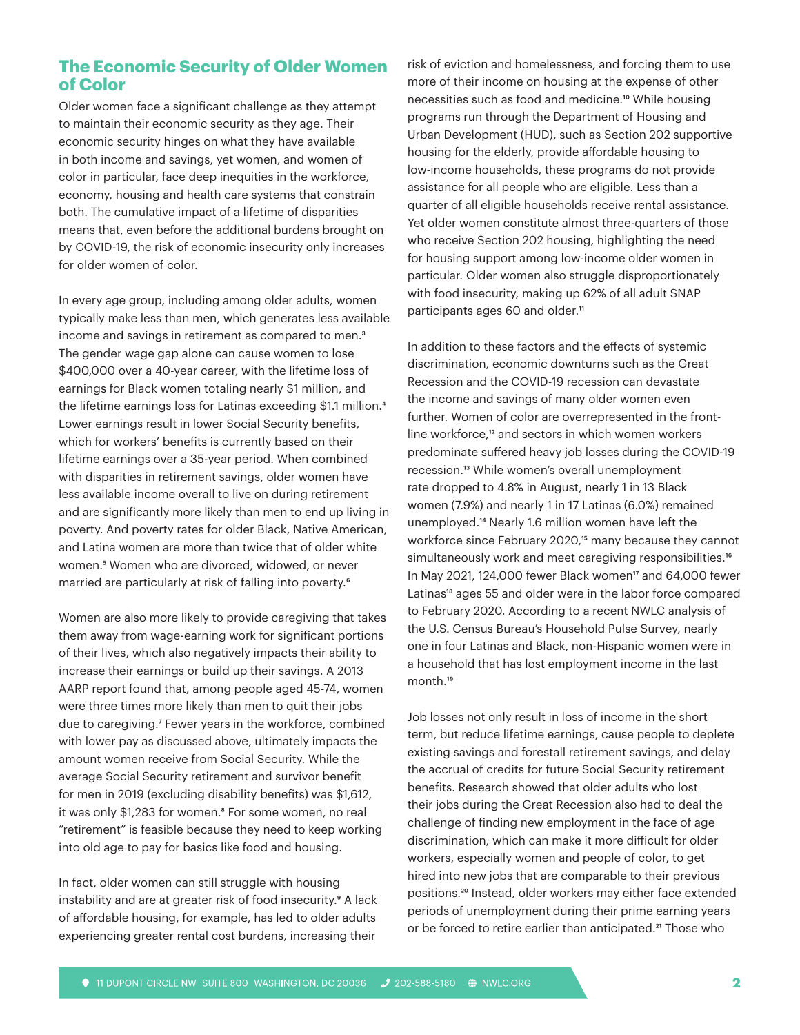# **The Economic Security of Older Women of Color**

Older women face a significant challenge as they attempt to maintain their economic security as they age. Their economic security hinges on what they have available in both income and savings, yet women, and women of color in particular, face deep inequities in the workforce, economy, housing and health care systems that constrain both. The cumulative impact of a lifetime of disparities means that, even before the additional burdens brought on by COVID-19, the risk of economic insecurity only increases for older women of color.

In every age group, including among older adults, women typically make less than men, which generates less available income and savings in retirement as compared to men.<sup>3</sup> The gender wage gap alone can cause women to lose \$400,000 over a 40-year career, with the lifetime loss of earnings for Black women totaling nearly \$1 million, and the lifetime earnings loss for Latinas exceeding \$1.1 million.<sup>4</sup> Lower earnings result in lower Social Security benefits, which for workers' benefits is currently based on their lifetime earnings over a 35-year period. When combined with disparities in retirement savings, older women have less available income overall to live on during retirement and are significantly more likely than men to end up living in poverty. And poverty rates for older Black, Native American, and Latina women are more than twice that of older white women.5 Women who are divorced, widowed, or never married are particularly at risk of falling into poverty.<sup>6</sup>

Women are also more likely to provide caregiving that takes them away from wage-earning work for significant portions of their lives, which also negatively impacts their ability to increase their earnings or build up their savings. A 2013 AARP report found that, among people aged 45-74, women were three times more likely than men to quit their jobs due to caregiving.7 Fewer years in the workforce, combined with lower pay as discussed above, ultimately impacts the amount women receive from Social Security. While the average Social Security retirement and survivor benefit for men in 2019 (excluding disability benefits) was \$1,612, it was only \$1,283 for women.<sup>8</sup> For some women, no real "retirement" is feasible because they need to keep working into old age to pay for basics like food and housing.

In fact, older women can still struggle with housing instability and are at greater risk of food insecurity.<sup>9</sup> A lack of affordable housing, for example, has led to older adults experiencing greater rental cost burdens, increasing their risk of eviction and homelessness, and forcing them to use more of their income on housing at the expense of other necessities such as food and medicine.<sup>10</sup> While housing programs run through the Department of Housing and Urban Development (HUD), such as Section 202 supportive housing for the elderly, provide affordable housing to low-income households, these programs do not provide assistance for all people who are eligible. Less than a quarter of all eligible households receive rental assistance. Yet older women constitute almost three-quarters of those who receive Section 202 housing, highlighting the need for housing support among low-income older women in particular. Older women also struggle disproportionately with food insecurity, making up 62% of all adult SNAP participants ages 60 and older.<sup>11</sup>

In addition to these factors and the effects of systemic discrimination, economic downturns such as the Great Recession and the COVID-19 recession can devastate the income and savings of many older women even further. Women of color are overrepresented in the frontline workforce,<sup>12</sup> and sectors in which women workers predominate suffered heavy job losses during the COVID-19 recession.13 While women's overall unemployment rate dropped to 4.8% in August, nearly 1 in 13 Black women (7.9%) and nearly 1 in 17 Latinas (6.0%) remained unemployed.14 Nearly 1.6 million women have left the workforce since February 2020,<sup>15</sup> many because they cannot simultaneously work and meet caregiving responsibilities.<sup>16</sup> In May 2021, 124,000 fewer Black women<sup>17</sup> and 64,000 fewer Latinas<sup>18</sup> ages 55 and older were in the labor force compared to February 2020. According to a recent NWLC analysis of the U.S. Census Bureau's Household Pulse Survey, nearly one in four Latinas and Black, non-Hispanic women were in a household that has lost employment income in the last month.19

Job losses not only result in loss of income in the short term, but reduce lifetime earnings, cause people to deplete existing savings and forestall retirement savings, and delay the accrual of credits for future Social Security retirement benefits. Research showed that older adults who lost their jobs during the Great Recession also had to deal the challenge of finding new employment in the face of age discrimination, which can make it more difficult for older workers, especially women and people of color, to get hired into new jobs that are comparable to their previous positions.20 Instead, older workers may either face extended periods of unemployment during their prime earning years or be forced to retire earlier than anticipated.<sup>21</sup> Those who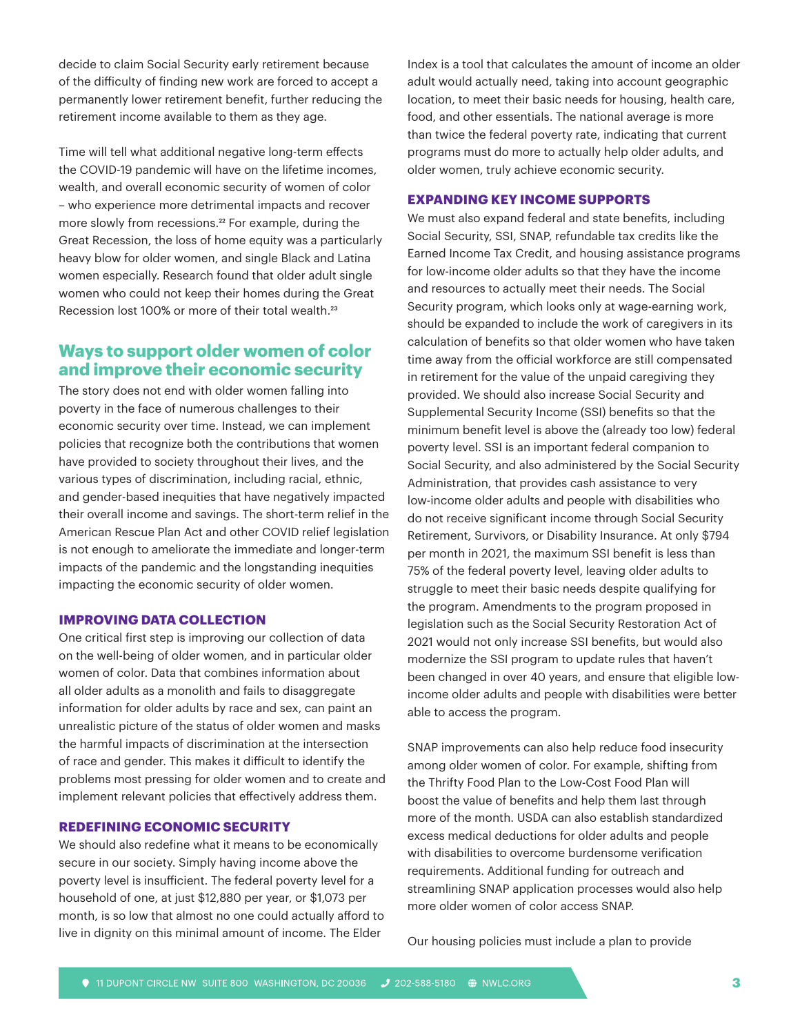decide to claim Social Security early retirement because of the difficulty of finding new work are forced to accept a permanently lower retirement benefit, further reducing the retirement income available to them as they age.

Time will tell what additional negative long-term effects the COVID-19 pandemic will have on the lifetime incomes, wealth, and overall economic security of women of color – who experience more detrimental impacts and recover more slowly from recessions.<sup>22</sup> For example, during the Great Recession, the loss of home equity was a particularly heavy blow for older women, and single Black and Latina women especially. Research found that older adult single women who could not keep their homes during the Great Recession lost 100% or more of their total wealth.<sup>23</sup>

# **Ways to support older women of color and improve their economic security**

The story does not end with older women falling into poverty in the face of numerous challenges to their economic security over time. Instead, we can implement policies that recognize both the contributions that women have provided to society throughout their lives, and the various types of discrimination, including racial, ethnic, and gender-based inequities that have negatively impacted their overall income and savings. The short-term relief in the American Rescue Plan Act and other COVID relief legislation is not enough to ameliorate the immediate and longer-term impacts of the pandemic and the longstanding inequities impacting the economic security of older women.

### **IMPROVING DATA COLLECTION**

One critical first step is improving our collection of data on the well-being of older women, and in particular older women of color. Data that combines information about all older adults as a monolith and fails to disaggregate information for older adults by race and sex, can paint an unrealistic picture of the status of older women and masks the harmful impacts of discrimination at the intersection of race and gender. This makes it difficult to identify the problems most pressing for older women and to create and implement relevant policies that effectively address them.

#### **REDEFINING ECONOMIC SECURITY**

We should also redefine what it means to be economically secure in our society. Simply having income above the poverty level is insufficient. The federal poverty level for a household of one, at just \$12,880 per year, or \$1,073 per month, is so low that almost no one could actually afford to live in dignity on this minimal amount of income. The Elder

Index is a tool that calculates the amount of income an older adult would actually need, taking into account geographic location, to meet their basic needs for housing, health care, food, and other essentials. The national average is more than twice the federal poverty rate, indicating that current programs must do more to actually help older adults, and older women, truly achieve economic security.

#### **EXPANDING KEY INCOME SUPPORTS**

We must also expand federal and state benefits, including Social Security, SSI, SNAP, refundable tax credits like the Earned Income Tax Credit, and housing assistance programs for low-income older adults so that they have the income and resources to actually meet their needs. The Social Security program, which looks only at wage-earning work, should be expanded to include the work of caregivers in its calculation of benefits so that older women who have taken time away from the official workforce are still compensated in retirement for the value of the unpaid caregiving they provided. We should also increase Social Security and Supplemental Security Income (SSI) benefits so that the minimum benefit level is above the (already too low) federal poverty level. SSI is an important federal companion to Social Security, and also administered by the Social Security Administration, that provides cash assistance to very low-income older adults and people with disabilities who do not receive significant income through Social Security Retirement, Survivors, or Disability Insurance. At only \$794 per month in 2021, the maximum SSI benefit is less than 75% of the federal poverty level, leaving older adults to struggle to meet their basic needs despite qualifying for the program. Amendments to the program proposed in legislation such as the Social Security Restoration Act of 2021 would not only increase SSI benefits, but would also modernize the SSI program to update rules that haven't been changed in over 40 years, and ensure that eligible lowincome older adults and people with disabilities were better able to access the program.

SNAP improvements can also help reduce food insecurity among older women of color. For example, shifting from the Thrifty Food Plan to the Low-Cost Food Plan will boost the value of benefits and help them last through more of the month. USDA can also establish standardized excess medical deductions for older adults and people with disabilities to overcome burdensome verification requirements. Additional funding for outreach and streamlining SNAP application processes would also help more older women of color access SNAP.

Our housing policies must include a plan to provide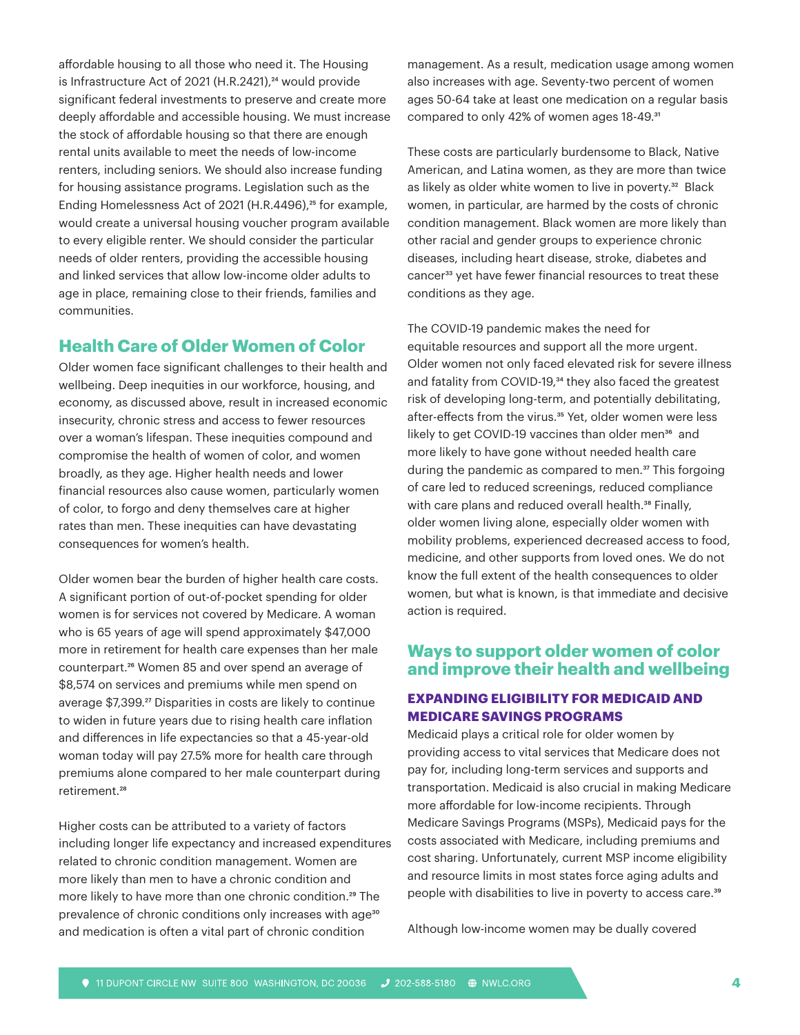affordable housing to all those who need it. The Housing is Infrastructure Act of 2021 (H.R.2421),<sup>24</sup> would provide significant federal investments to preserve and create more deeply affordable and accessible housing. We must increase the stock of affordable housing so that there are enough rental units available to meet the needs of low-income renters, including seniors. We should also increase funding for housing assistance programs. Legislation such as the Ending Homelessness Act of 2021 (H.R.4496),<sup>25</sup> for example, would create a universal housing voucher program available to every eligible renter. We should consider the particular needs of older renters, providing the accessible housing and linked services that allow low-income older adults to age in place, remaining close to their friends, families and communities.

## **Health Care of Older Women of Color**

Older women face significant challenges to their health and wellbeing. Deep inequities in our workforce, housing, and economy, as discussed above, result in increased economic insecurity, chronic stress and access to fewer resources over a woman's lifespan. These inequities compound and compromise the health of women of color, and women broadly, as they age. Higher health needs and lower financial resources also cause women, particularly women of color, to forgo and deny themselves care at higher rates than men. These inequities can have devastating consequences for women's health.

Older women bear the burden of higher health care costs. A significant portion of out-of-pocket spending for older women is for services not covered by Medicare. A woman who is 65 years of age will spend approximately \$47,000 more in retirement for health care expenses than her male counterpart.26 Women 85 and over spend an average of \$8,574 on services and premiums while men spend on average \$7,399.<sup>27</sup> Disparities in costs are likely to continue to widen in future years due to rising health care inflation and differences in life expectancies so that a 45-year-old woman today will pay 27.5% more for health care through premiums alone compared to her male counterpart during retirement.<sup>28</sup>

Higher costs can be attributed to a variety of factors including longer life expectancy and increased expenditures related to chronic condition management. Women are more likely than men to have a chronic condition and more likely to have more than one chronic condition.<sup>29</sup> The prevalence of chronic conditions only increases with age<sup>30</sup> and medication is often a vital part of chronic condition

management. As a result, medication usage among women also increases with age. Seventy-two percent of women ages 50-64 take at least one medication on a regular basis compared to only 42% of women ages 18-49.<sup>31</sup>

These costs are particularly burdensome to Black, Native American, and Latina women, as they are more than twice as likely as older white women to live in poverty.<sup>32</sup> Black women, in particular, are harmed by the costs of chronic condition management. Black women are more likely than other racial and gender groups to experience chronic diseases, including heart disease, stroke, diabetes and cancer<sup>33</sup> yet have fewer financial resources to treat these conditions as they age.

The COVID-19 pandemic makes the need for equitable resources and support all the more urgent. Older women not only faced elevated risk for severe illness and fatality from COVID-19,<sup>34</sup> they also faced the greatest risk of developing long-term, and potentially debilitating, after-effects from the virus.<sup>35</sup> Yet, older women were less likely to get COVID-19 vaccines than older men<sup>36</sup> and more likely to have gone without needed health care during the pandemic as compared to men.<sup>37</sup> This forgoing of care led to reduced screenings, reduced compliance with care plans and reduced overall health.<sup>38</sup> Finally, older women living alone, especially older women with mobility problems, experienced decreased access to food, medicine, and other supports from loved ones. We do not know the full extent of the health consequences to older women, but what is known, is that immediate and decisive action is required.

# **Ways to support older women of color and improve their health and wellbeing**

## **EXPANDING ELIGIBILITY FOR MEDICAID AND MEDICARE SAVINGS PROGRAMS**

Medicaid plays a critical role for older women by providing access to vital services that Medicare does not pay for, including long-term services and supports and transportation. Medicaid is also crucial in making Medicare more affordable for low-income recipients. Through Medicare Savings Programs (MSPs), Medicaid pays for the costs associated with Medicare, including premiums and cost sharing. Unfortunately, current MSP income eligibility and resource limits in most states force aging adults and people with disabilities to live in poverty to access care.39

Although low-income women may be dually covered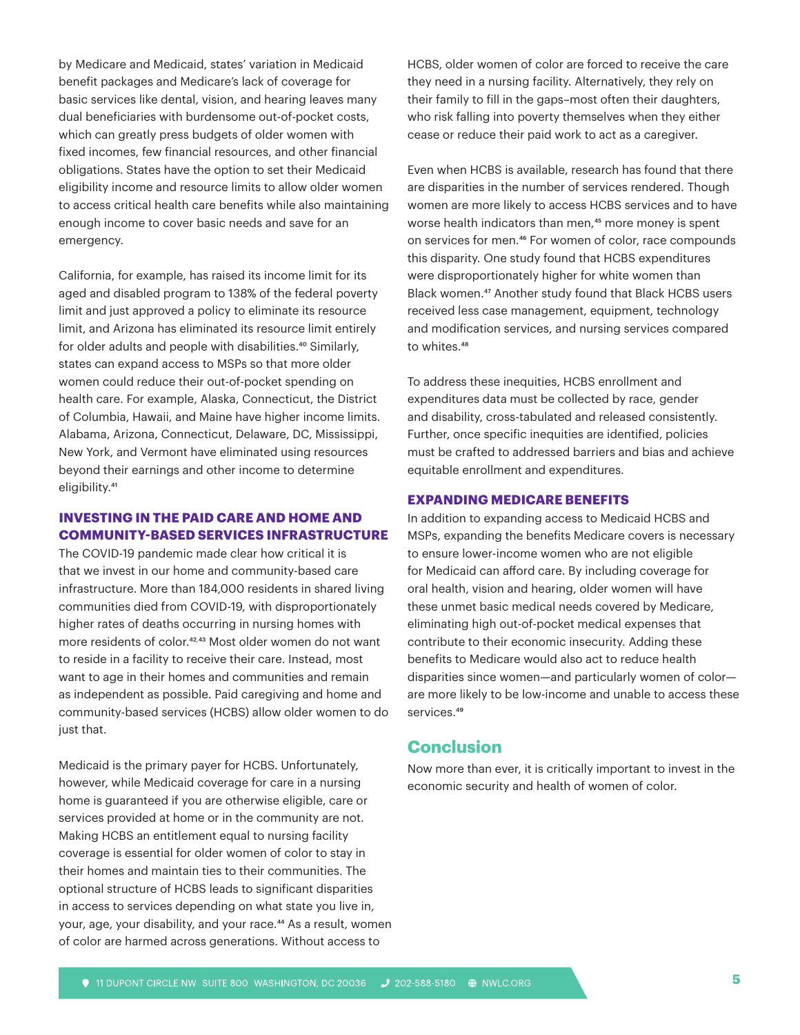by Medicare and Medicaid, states' variation in Medicaid benefit packages and Medicare's lack of coverage for basic services like dental, vision, and hearing leaves many dual beneficiaries with burdensome out-of-pocket costs, which can greatly press budgets of older women with fixed incomes, few financial resources, and other financial obligations. States have the option to set their Medicaid eligibility income and resource limits to allow older women to access critical health care benefits while also maintaining enough income to cover basic needs and save for an emergency.

California, for example, has raised its income limit for its aged and disabled program to 138% of the federal poverty limit and just approved a policy to eliminate its resource limit, and Arizona has eliminated its resource limit entirely for older adults and people with disabilities.<sup>40</sup> Similarly, states can expand access to MSPs so that more older women could reduce their out-of-pocket spending on health care. For example, Alaska, Connecticut, the District of Columbia, Hawaii, and Maine have higher income limits. Alabama, Arizona, Connecticut, Delaware, DC, Mississippi, New York, and Vermont have eliminated using resources beyond their earnings and other income to determine eligibility.<sup>41</sup>

## **INVESTING IN THE PAID CARE AND HOME AND COMMUNITY-BASED SERVICES INFRASTRUCTURE**

The COVID-19 pandemic made clear how critical it is that we invest in our home and community-based care infrastructure. More than 184,000 residents in shared living communities died from COVID-19, with disproportionately higher rates of deaths occurring in nursing homes with more residents of color.42, 43 Most older women do not want to reside in a facility to receive their care. Instead, most want to age in their homes and communities and remain as independent as possible. Paid caregiving and home and community-based services (HCBS) allow older women to do just that.

Medicaid is the primary payer for HCBS. Unfortunately, however, while Medicaid coverage for care in a nursing home is guaranteed if you are otherwise eligible, care or services provided at home or in the community are not. Making HCBS an entitlement equal to nursing facility coverage is essential for older women of color to stay in their homes and maintain ties to their communities. The optional structure of HCBS leads to significant disparities in access to services depending on what state you live in, your, age, your disability, and your race.<sup>44</sup> As a result, women of color are harmed across generations. Without access to

HCBS, older women of color are forced to receive the care they need in a nursing facility. Alternatively, they rely on their family to fill in the gaps–most often their daughters, who risk falling into poverty themselves when they either cease or reduce their paid work to act as a caregiver.

Even when HCBS is available, research has found that there are disparities in the number of services rendered. Though women are more likely to access HCBS services and to have worse health indicators than men,<sup>45</sup> more money is spent on services for men.46 For women of color, race compounds this disparity. One study found that HCBS expenditures were disproportionately higher for white women than Black women.<sup>47</sup> Another study found that Black HCBS users received less case management, equipment, technology and modification services, and nursing services compared to whites.<sup>48</sup>

To address these inequities, HCBS enrollment and expenditures data must be collected by race, gender and disability, cross-tabulated and released consistently. Further, once specific inequities are identified, policies must be crafted to addressed barriers and bias and achieve equitable enrollment and expenditures.

#### **EXPANDING MEDICARE BENEFITS**

In addition to expanding access to Medicaid HCBS and MSPs, expanding the benefits Medicare covers is necessary to ensure lower-income women who are not eligible for Medicaid can afford care. By including coverage for oral health, vision and hearing, older women will have these unmet basic medical needs covered by Medicare, eliminating high out-of-pocket medical expenses that contribute to their economic insecurity. Adding these benefits to Medicare would also act to reduce health disparities since women—and particularly women of color are more likely to be low-income and unable to access these services.<sup>49</sup>

## **Conclusion**

Now more than ever, it is critically important to invest in the economic security and health of women of color.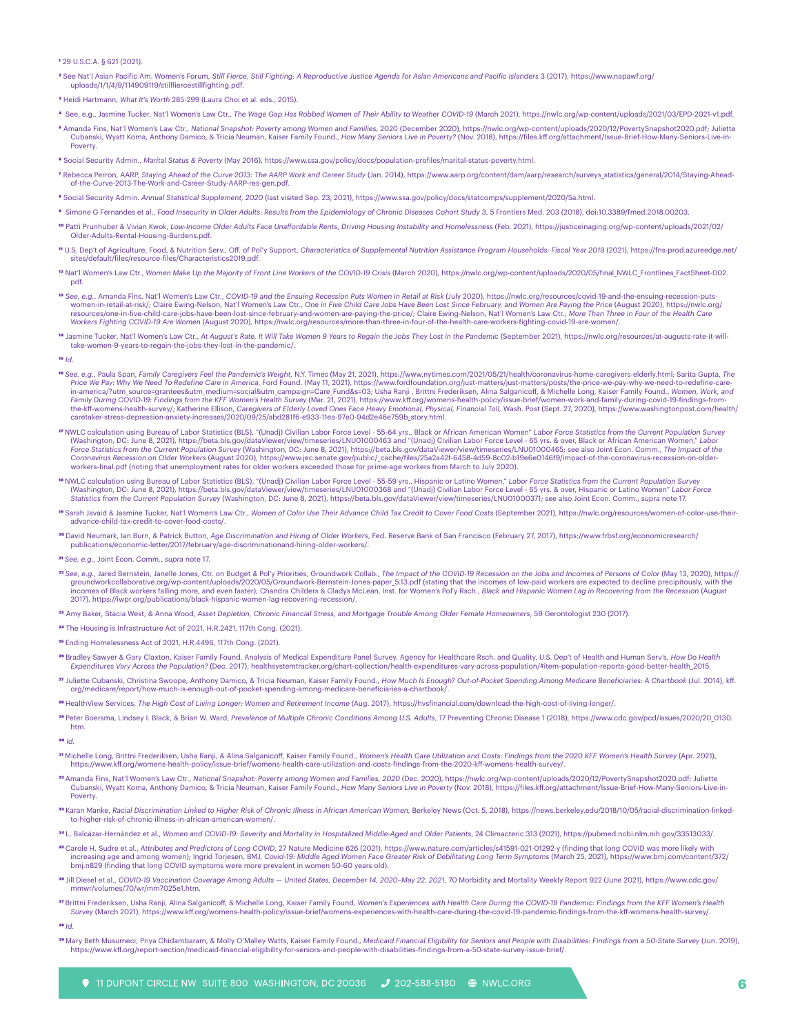#### **1** 29 U.S.C.A. § 621 (2021).

**2** See Nat'l Asian Pacific Am. Women's Forum, *Still Fierce, Still Fighting: A Reproductive Justice Agenda for Asian Americans and Pacific Islanders* 3 (2017), https://www.napawf.org/ uploads/1/1/4/9/114909119/stillfiercestillfighting.pdf.

- **3** Heidi Hartmann, *What It's Worth* 285-299 (Laura Choi et al. eds., 2015).
- **4** See, e.g., Jasmine Tucker, Nat'l Women's Law Ctr., *The Wage Gap Has Robbed Women of Their Ability to Weather COVID-19* (March 2021), https://nwlc.org/wp-content/uploads/2021/03/EPD-2021-v1.pdf.
- **5** Amanda Fins, Nat'l Women's Law Ctr., *National Snapshot: Poverty among Women and Families*, 2020 (December 2020), https://nwlc.org/wp-content/uploads/2020/12/PovertySnapshot2020.pdf; Juliette Cubanski, Wyatt Koma, Anthony Damico, & Tricia Neuman, Kaiser Family Found., *How Many Seniors Live in Poverty?* (Nov. 2018), https://files.kff.org/attachment/Issue-Brief-How-Many-Seniors-Live-in-Poverty.
- **6** Social Security Admin., *Marital Status & Poverty* (May 2016), https://www.ssa.gov/policy/docs/population-profiles/marital-status-poverty.html.
- -Rebecca Perron, AARP, Staying Ahead of the Curve 2013: The AARP Work and Career Study (Jan. 2014), https://www.aarp.org/content/dam/aarp/research/surveys\_statistics/general/2014/Staying-Ahead-<br>of the Curve-2013-The Work a

**8** Social Security Admin. *Annual Statistical Supplement, 2020* (last visited Sep. 23, 2021), https://www.ssa.gov/policy/docs/statcomps/supplement/2020/5a.html.

- **9** Simone G Fernandes et al., *Food Insecurity in Older Adults: Results from the Epidemiology of Chronic Diseases Cohort Study* 3, 5 Frontiers Med. 203 (2018), doi:10.3389/fmed.2018.00203.
- **10** Patti Prunhuber & Vivian Kwok, *Low-Income Older Adults Face Unaffordable Rents, Driving Housing Instability and Homelessness* (Feb. 2021), https://justiceinaging.org/wp-content/uploads/2021/02/ Older-Adults-Rental-Housing-Burdens.pdf.
- **11** U.S. Dep't of Agriculture, Food, & Nutrition Serv., Off. of Pol'y Support, *Characteristics of Supplemental Nutrition Assistance Program Households: Fiscal Year 2019* (2021), https://fns-prod.azureedge.net/ sites/default/files/resource-files/Characteristics2019.pdf.
- <sup>12</sup> Nat'l Women's Law Ctr., Women Make Up the Majority of Front Line Workers of the COVID-19 Crisis (March 2020), https://nwlc.org/wp-content/uploads/2020/05/final\_NWLC\_Frontlines\_FactSheet-002. pdf.
- **13** *See, e.g.*, Amanda Fins, Nat'l Women's Law Ctr., *COVID-19 and the Ensuing Recession Puts Women in Retail at Risk* (July 2020), https://nwlc.org/resources/covid-19-and-the-ensuing-recession-putswomen-in-retail-at-risk/; Claire Ewing-Nelson, Nat'l Women's Law Ctr., One in Five Child Care Jobs Have Been Lost Since February, and Women Are Paying the Price (August 2020), https://nwlc.org/<br>resources/one-in-five-child-*Workers Fighting COVID-19 Are Women* (August 2020), https://nwlc.org/resources/more-than-three-in-four-of-the-health-care-workers-fighting-covid-19-are-women/.
- **14** Jasmine Tucker, Nat'l Women's Law Ctr., *At August's Rate, It Will Take Women 9 Years to Regain the Jobs They Lost in the Pandemic* (September 2021), https://nwlc.org/resources/at-augusts-rate-it-willtake-women-9-years-to-regain-the-jobs-they-lost-in-the-pandemic/.

#### **15** *Id*.

- e See, e.g., Paula Span, Family Caregivers Feel the Pandemic's Weight, N.Y. Times (May 21, 2021), https://www.nytimes.com/2021/05/21/health/coronavirus-home-caregivers-elderly.html; Sarita Gupta, The Price We Pay: Why We N the-kff-womens-health-survey/; Katherine Ellison, Caregivers of Elderly Loved Ones Face Heavy Emotional, Physical, Financial Toll, Wash. Post (Sept. 27, 2020), https://www.washingtonpost.com/health/<br>caretaker-stress-depres
- **17** NWLC calculation using Bureau of Labor Statistics (BLS), "(Unadj) Civilian Labor Force Level 55-64 yrs., Black or African American Women" *Labor Force Statistics from the Current Population Survey* (Washington, DC: June 8, 2021), https://beta.bls.gov/dataViewer/view/timeseries/LNU01000463 and "(Unadj) Civilian Labor Force Level - 65 yrs. & over, Black or African American Women," *Labor*<br>Force Statistics from the Curr *Coronavirus Recession on Older Workers* (August 2020), https://www.jec.senate.gov/public/\_cache/files/25a2a42f-6458-4d59-8c02-b19e6e0146f9/impact-of-the-coronavirus-recession-on-olderworkers-final.pdf (noting that unemployment rates for older workers exceeded those for prime-age workers from March to July 2020).
- MWLC calculation using Bureau of Labor Statistics (BLS), "(Unadj) Civilian Labor Force Level 55-59 yrs., Hispanic or Latino Women," Labor Force Statistics from the Current Population Survey (Washington) (Washington) (Was
- **19** Sarah Javaid & Jasmine Tucker, Nat'l Women's Law Ctr., *Women of Color Use Their Advance Child Tax Credit to Cover Food Costs* (September 2021), https://nwlc.org/resources/women-of-color-use-theiradvance-child-tax-credit-to-cover-food-costs/.
- **20** David Neumark, Ian Burn, & Patrick Button, *Age Discrimination and Hiring of Older Workers*, Fed. Reserve Bank of San Francisco (February 27, 2017), https://www.frbsf.org/economicresearch/ publications/economic-letter/2017/february/age-discriminationand-hiring-older-workers/.
- **21** *See, e.g.,* Joint Econ. Comm., *supra* note 17.
- 22 See, e.g., Jared Bernstein, Janelle Jones, Ctr. on Budget & Pol'y Priorities, Groundwork Collab.. The Impact of the COVID-19 Recession on the Jobs and Incomes of Persons of Color (May 13, 2020), https:// groundworkcollaborative.org/wp-content/uploads/2020/05/Groundwork-Bernstein-Jones-paper\_5.13.pdf (stating that the incomes of low-paid workers are expected to decline precipitously, with the incomes of Black workers falling more, and even faster); Chandra Childers & Gladys McLean, Inst. for Women's Pol'y Rsch., *Black and Hispanic Women Lag in Recovering from the Recession* (August 2017), https://iwpr.org/publications/black-hispanic-women-lag-recovering-recession/.
- **23** Amy Baker, Stacia West, & Anna Wood, *Asset Depletion, Chronic Financial Stress, and Mortgage Trouble Among Older Female Homeowners*, 59 Gerontologist 230 (2017).
- **24** The Housing is Infrastructure Act of 2021, H.R.2421, 117th Cong. (2021).
- **25** Ending Homelessness Act of 2021, H.R.4496, 117th Cong. (2021).
- e Bradley Sawyer & Gary Claxton, Kaiser Family Found. Analysis of Medical Expenditure Panel Survey, Agency for Healthcare Rsch. and Quality, U.S. Dep't of Health and Human Serv's, How Do Health<br>Expenditures Vary Across the
- **27** Juliette Cubanski, Christina Swoope, Anthony Damico, & Tricia Neuman, Kaiser Family Found., *How Much Is Enough? Out-of-Pocket Spending Among Medicare Beneficiaries: A Chartbook* (Jul. 2014), kff. org/medicare/report/how-much-is-enough-out-of-pocket-spending-among-medicare-beneficiaries-a-chartbook/.
- **28** HealthView Services, *The High Cost of Living Longer: Women and Retirement Income* (Aug. 2017), https://hvsfinancial.com/download-the-high-cost-of-living-longer/.
- **29** Peter Boersma, Lindsey I. Black, & Brian W. Ward, *Prevalence of Multiple Chronic Conditions Among U.S. Adults*, 17 Preventing Chronic Disease 1 (2018), https://www.cdc.gov/pcd/issues/2020/20\_0130. htm.

#### **30** *Id.*

- **31** Michelle Long, Brittni Frederiksen, Usha Ranji, & Alina Salganicoff, Kaiser Family Found., *Women's Health Care Utilization and Costs: Findings from the 2020 KFF Women's Health Survey* (Apr. 2021), https://www.kff.org/womens-health-policy/issue-brief/womens-health-care-utilization-and-costs-findings-from-the-2020-kff-womens-health-survey/.
- a Amanda Fins, Nat'l Women's Law Ctr., National Snapshot: Poverty among Women and Families, 2020 (Dec. 2020), https://nwlc.org/wp-content/uploads/2020/12/PovertySnapshot2020.pdf; Juliette<br>Cubanski, Wyatt Koma, Anthony Dami Poverty.
- **33** Karan Manke, *Racial Discrimination Linked to Higher Risk of Chronic Illness in African American Women,* Berkeley News (Oct. 5, 2018), https://news.berkeley.edu/2018/10/05/racial-discrimination-linkedto-higher-risk-of-chronic-illness-in-african-american-women/.
- **34** L. Balcázar-Hernández et al., *Women and COVID-19: Severity and Mortality in Hospitalized Middle-Aged and Older Patients*, 24 Climacteric 313 (2021), https://pubmed.ncbi.nlm.nih.gov/33513033/.
- **35** Carole H. Sudre et al., *Attributes and Predictors of Long COVID*, 27 Nature Medicine 626 (2021), https://www.nature.com/articles/s41591-021-01292-y (finding that long COVID was more likely with increasing age and among women); Ingrid Torjesen, BMJ, *Covid-19: Middle Aged Women Face Greater Risk of Debilitating Long Term Symptoms* (March 25, 2021), https://www.bmj.com/content/372/ bmj.n829 (finding that long COVID symptoms were more prevalent in women 50-60 years old).
- **36** Jill Diesel et al., *COVID-19 Vaccination Coverage Among Adults United States, December 14, 2020–May 22, 2021*, 70 Morbidity and Mortality Weekly Report 922 (June 2021), https://www.cdc.gov/ mmwr/volumes/70/wr/mm7025e1.htm.
- **37** Brittni Frederiksen, Usha Ranji, Alina Salganicoff, & Michelle Long, Kaiser Family Found, *Women's Experiences with Health Care During the COVID-19 Pandemic: Findings from the KFF Women's Health Survey* (March 2021), https://www.kff.org/womens-health-policy/issue-brief/womens-experiences-with-health-care-during-the-covid-19-pandemic-findings-from-the-kff-womens-health-survey/.

#### **38** *Id.*

**39** Mary Beth Musumeci, Priya Chidambaram, & Molly O'Malley Watts, Kaiser Family Found., *Medicaid Financial Eligibility for Seniors and People with Disabilities: Findings from a 50-State Survey* (Jun. 2019), https://www.kff.org/report-section/medicaid-financial-eligibility-for-seniors-and-people-with-disabilities-findings-from-a-50-state-survey-issue-brief/.